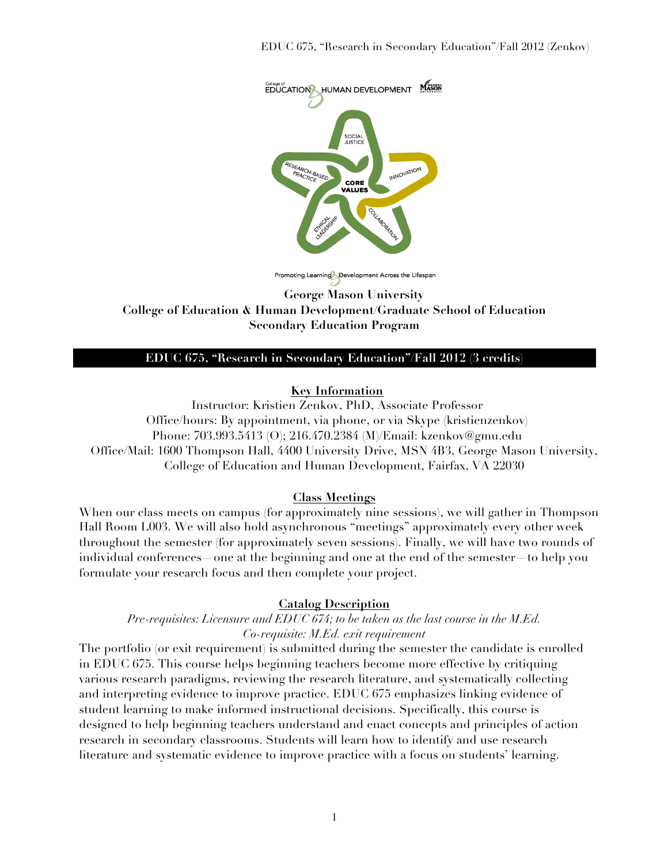

Promoting Learning Development Across the Lifespan

**George Mason University College of Education & Human Development/Graduate School of Education Secondary Education Program**

#### **EDUC 675, "Research in Secondary Education"/Fall 2012 (3 credits)**

#### **Key Information**

Instructor: Kristien Zenkov, PhD, Associate Professor Office/hours: By appointment, via phone, or via Skype (kristienzenkov) Phone: 703.993.5413 (O); 216.470.2384 (M)/Email: kzenkov@gmu.edu Office/Mail: 1600 Thompson Hall, 4400 University Drive, MSN 4B3, George Mason University, College of Education and Human Development, Fairfax, VA 22030

#### **Class Meetings**

When our class meets on campus (for approximately nine sessions), we will gather in Thompson Hall Room L003. We will also hold asynchronous "meetings" approximately every other week throughout the semester (for approximately seven sessions). Finally, we will have two rounds of individual conferences—one at the beginning and one at the end of the semester—to help you formulate your research focus and then complete your project.

#### **Catalog Description**

#### *Pre-requisites: Licensure and EDUC 674; to be taken as the last course in the M.Ed. Co-requisite: M.Ed. exit requirement*

The portfolio (or exit requirement) is submitted during the semester the candidate is enrolled in EDUC 675. This course helps beginning teachers become more effective by critiquing various research paradigms, reviewing the research literature, and systematically collecting and interpreting evidence to improve practice. EDUC 675 emphasizes linking evidence of student learning to make informed instructional decisions. Specifically, this course is designed to help beginning teachers understand and enact concepts and principles of action research in secondary classrooms. Students will learn how to identify and use research literature and systematic evidence to improve practice with a focus on students' learning.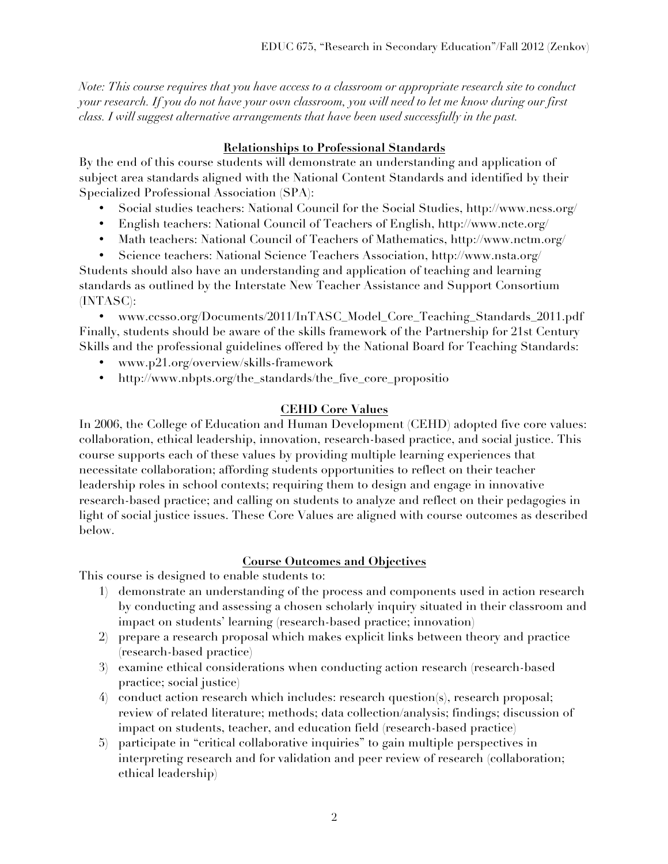*Note: This course requires that you have access to a classroom or appropriate research site to conduct your research. If you do not have your own classroom, you will need to let me know during our first class. I will suggest alternative arrangements that have been used successfully in the past.* 

## **Relationships to Professional Standards**

By the end of this course students will demonstrate an understanding and application of subject area standards aligned with the National Content Standards and identified by their Specialized Professional Association (SPA):

- Social studies teachers: National Council for the Social Studies, http://www.ncss.org/
- English teachers: National Council of Teachers of English, http://www.ncte.org/
- Math teachers: National Council of Teachers of Mathematics, http://www.nctm.org/
- Science teachers: National Science Teachers Association, http://www.nsta.org/

Students should also have an understanding and application of teaching and learning standards as outlined by the Interstate New Teacher Assistance and Support Consortium (INTASC):

• www.ccsso.org/Documents/2011/InTASC\_Model\_Core\_Teaching\_Standards\_2011.pdf Finally, students should be aware of the skills framework of the Partnership for 21st Century Skills and the professional guidelines offered by the National Board for Teaching Standards:

- www.p21.org/overview/skills-framework
- http://www.nbpts.org/the\_standards/the\_five\_core\_propositio

## **CEHD Core Values**

In 2006, the College of Education and Human Development (CEHD) adopted five core values: collaboration, ethical leadership, innovation, research-based practice, and social justice. This course supports each of these values by providing multiple learning experiences that necessitate collaboration; affording students opportunities to reflect on their teacher leadership roles in school contexts; requiring them to design and engage in innovative research-based practice; and calling on students to analyze and reflect on their pedagogies in light of social justice issues. These Core Values are aligned with course outcomes as described below.

## **Course Outcomes and Objectives**

This course is designed to enable students to:

- 1) demonstrate an understanding of the process and components used in action research by conducting and assessing a chosen scholarly inquiry situated in their classroom and impact on students' learning (research-based practice; innovation)
- 2) prepare a research proposal which makes explicit links between theory and practice (research-based practice)
- 3) examine ethical considerations when conducting action research (research-based practice; social justice)
- 4) conduct action research which includes: research question(s), research proposal; review of related literature; methods; data collection/analysis; findings; discussion of impact on students, teacher, and education field (research-based practice)
- 5) participate in "critical collaborative inquiries" to gain multiple perspectives in interpreting research and for validation and peer review of research (collaboration; ethical leadership)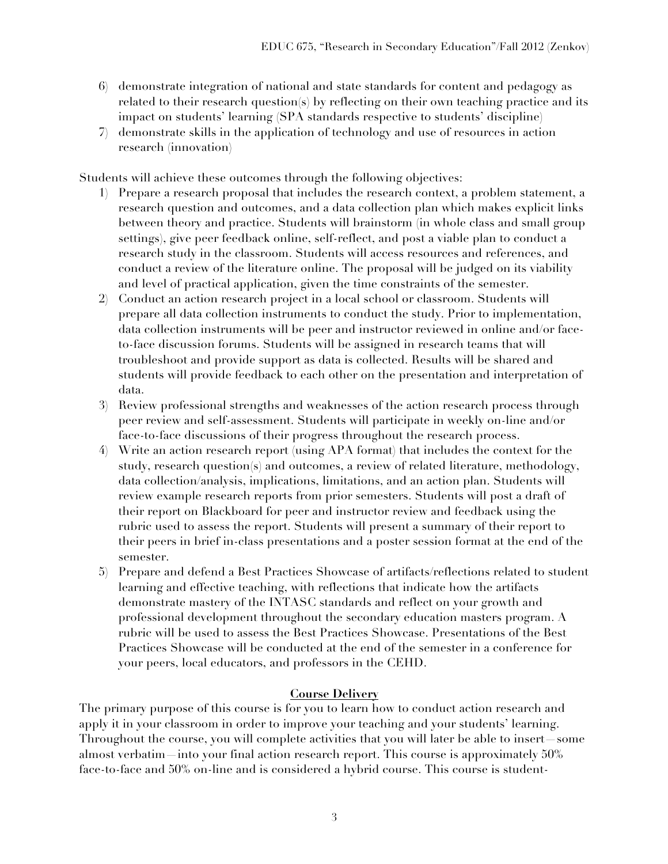- 6) demonstrate integration of national and state standards for content and pedagogy as related to their research question(s) by reflecting on their own teaching practice and its impact on students' learning (SPA standards respective to students' discipline)
- 7) demonstrate skills in the application of technology and use of resources in action research (innovation)

Students will achieve these outcomes through the following objectives:

- 1) Prepare a research proposal that includes the research context, a problem statement, a research question and outcomes, and a data collection plan which makes explicit links between theory and practice. Students will brainstorm (in whole class and small group settings), give peer feedback online, self-reflect, and post a viable plan to conduct a research study in the classroom. Students will access resources and references, and conduct a review of the literature online. The proposal will be judged on its viability and level of practical application, given the time constraints of the semester.
- 2) Conduct an action research project in a local school or classroom. Students will prepare all data collection instruments to conduct the study. Prior to implementation, data collection instruments will be peer and instructor reviewed in online and/or faceto-face discussion forums. Students will be assigned in research teams that will troubleshoot and provide support as data is collected. Results will be shared and students will provide feedback to each other on the presentation and interpretation of data.
- 3) Review professional strengths and weaknesses of the action research process through peer review and self-assessment. Students will participate in weekly on-line and/or face-to-face discussions of their progress throughout the research process.
- 4) Write an action research report (using APA format) that includes the context for the study, research question(s) and outcomes, a review of related literature, methodology, data collection/analysis, implications, limitations, and an action plan. Students will review example research reports from prior semesters. Students will post a draft of their report on Blackboard for peer and instructor review and feedback using the rubric used to assess the report. Students will present a summary of their report to their peers in brief in-class presentations and a poster session format at the end of the semester.
- 5) Prepare and defend a Best Practices Showcase of artifacts/reflections related to student learning and effective teaching, with reflections that indicate how the artifacts demonstrate mastery of the INTASC standards and reflect on your growth and professional development throughout the secondary education masters program. A rubric will be used to assess the Best Practices Showcase. Presentations of the Best Practices Showcase will be conducted at the end of the semester in a conference for your peers, local educators, and professors in the CEHD.

## **Course Delivery**

The primary purpose of this course is for you to learn how to conduct action research and apply it in your classroom in order to improve your teaching and your students' learning. Throughout the course, you will complete activities that you will later be able to insert—some almost verbatim—into your final action research report. This course is approximately 50% face-to-face and 50% on-line and is considered a hybrid course. This course is student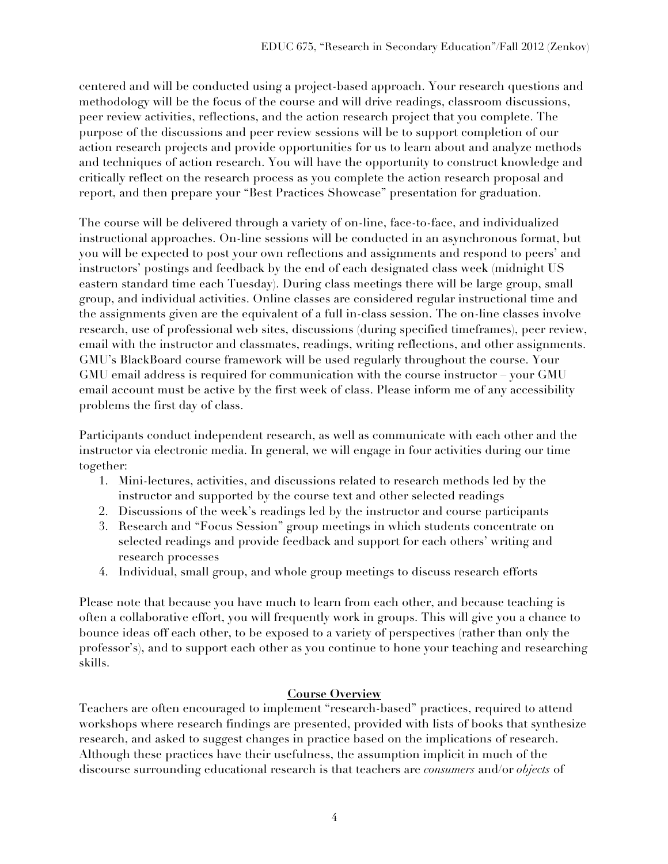centered and will be conducted using a project-based approach. Your research questions and methodology will be the focus of the course and will drive readings, classroom discussions, peer review activities, reflections, and the action research project that you complete. The purpose of the discussions and peer review sessions will be to support completion of our action research projects and provide opportunities for us to learn about and analyze methods and techniques of action research. You will have the opportunity to construct knowledge and critically reflect on the research process as you complete the action research proposal and report, and then prepare your "Best Practices Showcase" presentation for graduation.

The course will be delivered through a variety of on-line, face-to-face, and individualized instructional approaches. On-line sessions will be conducted in an asynchronous format, but you will be expected to post your own reflections and assignments and respond to peers' and instructors' postings and feedback by the end of each designated class week (midnight US eastern standard time each Tuesday). During class meetings there will be large group, small group, and individual activities. Online classes are considered regular instructional time and the assignments given are the equivalent of a full in-class session. The on-line classes involve research, use of professional web sites, discussions (during specified timeframes), peer review, email with the instructor and classmates, readings, writing reflections, and other assignments. GMU's BlackBoard course framework will be used regularly throughout the course. Your GMU email address is required for communication with the course instructor – your GMU email account must be active by the first week of class. Please inform me of any accessibility problems the first day of class.

Participants conduct independent research, as well as communicate with each other and the instructor via electronic media. In general, we will engage in four activities during our time together:

- 1. Mini-lectures, activities, and discussions related to research methods led by the instructor and supported by the course text and other selected readings
- 2. Discussions of the week's readings led by the instructor and course participants
- 3. Research and "Focus Session" group meetings in which students concentrate on selected readings and provide feedback and support for each others' writing and research processes
- 4. Individual, small group, and whole group meetings to discuss research efforts

Please note that because you have much to learn from each other, and because teaching is often a collaborative effort, you will frequently work in groups. This will give you a chance to bounce ideas off each other, to be exposed to a variety of perspectives (rather than only the professor's), and to support each other as you continue to hone your teaching and researching skills.

## **Course Overview**

Teachers are often encouraged to implement "research-based" practices, required to attend workshops where research findings are presented, provided with lists of books that synthesize research, and asked to suggest changes in practice based on the implications of research. Although these practices have their usefulness, the assumption implicit in much of the discourse surrounding educational research is that teachers are *consumers* and/or *objects* of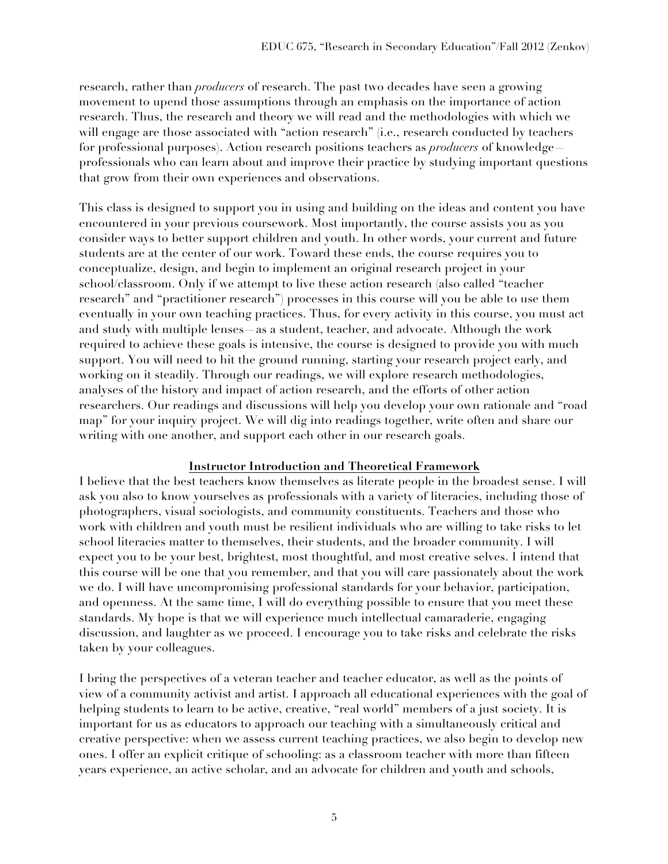research, rather than *producers* of research. The past two decades have seen a growing movement to upend those assumptions through an emphasis on the importance of action research. Thus, the research and theory we will read and the methodologies with which we will engage are those associated with "action research" (i.e., research conducted by teachers for professional purposes). Action research positions teachers as *producers* of knowledge professionals who can learn about and improve their practice by studying important questions that grow from their own experiences and observations.

This class is designed to support you in using and building on the ideas and content you have encountered in your previous coursework. Most importantly, the course assists you as you consider ways to better support children and youth. In other words, your current and future students are at the center of our work. Toward these ends, the course requires you to conceptualize, design, and begin to implement an original research project in your school/classroom. Only if we attempt to live these action research (also called "teacher research" and "practitioner research") processes in this course will you be able to use them eventually in your own teaching practices. Thus, for every activity in this course, you must act and study with multiple lenses—as a student, teacher, and advocate. Although the work required to achieve these goals is intensive, the course is designed to provide you with much support. You will need to hit the ground running, starting your research project early, and working on it steadily. Through our readings, we will explore research methodologies, analyses of the history and impact of action research, and the efforts of other action researchers. Our readings and discussions will help you develop your own rationale and "road map" for your inquiry project. We will dig into readings together, write often and share our writing with one another, and support each other in our research goals.

## **Instructor Introduction and Theoretical Framework**

I believe that the best teachers know themselves as literate people in the broadest sense. I will ask you also to know yourselves as professionals with a variety of literacies, including those of photographers, visual sociologists, and community constituents. Teachers and those who work with children and youth must be resilient individuals who are willing to take risks to let school literacies matter to themselves, their students, and the broader community. I will expect you to be your best, brightest, most thoughtful, and most creative selves. I intend that this course will be one that you remember, and that you will care passionately about the work we do. I will have uncompromising professional standards for your behavior, participation, and openness. At the same time, I will do everything possible to ensure that you meet these standards. My hope is that we will experience much intellectual camaraderie, engaging discussion, and laughter as we proceed. I encourage you to take risks and celebrate the risks taken by your colleagues.

I bring the perspectives of a veteran teacher and teacher educator, as well as the points of view of a community activist and artist. I approach all educational experiences with the goal of helping students to learn to be active, creative, "real world" members of a just society. It is important for us as educators to approach our teaching with a simultaneously critical and creative perspective: when we assess current teaching practices, we also begin to develop new ones. I offer an explicit critique of schooling: as a classroom teacher with more than fifteen years experience, an active scholar, and an advocate for children and youth and schools,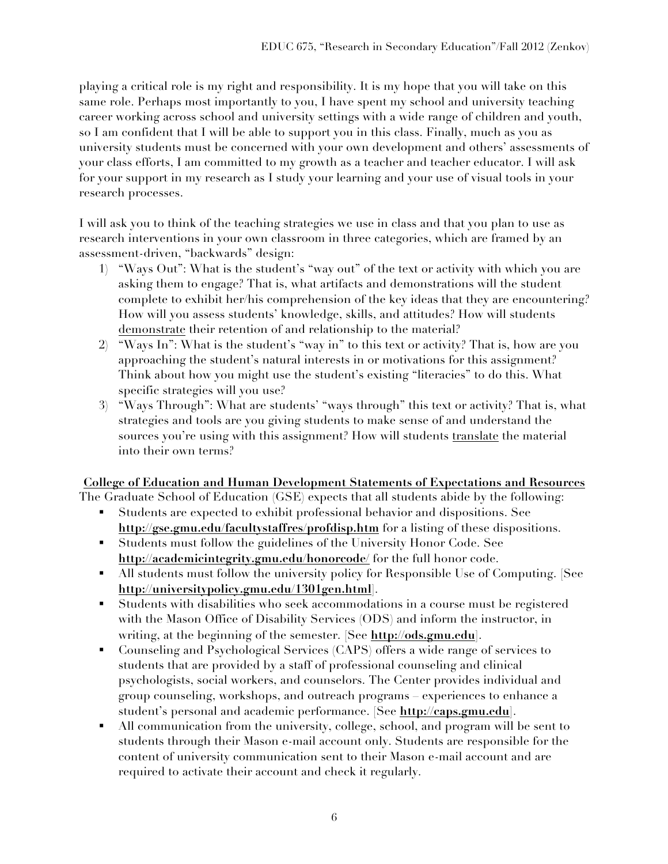playing a critical role is my right and responsibility. It is my hope that you will take on this same role. Perhaps most importantly to you, I have spent my school and university teaching career working across school and university settings with a wide range of children and youth, so I am confident that I will be able to support you in this class. Finally, much as you as university students must be concerned with your own development and others' assessments of your class efforts, I am committed to my growth as a teacher and teacher educator. I will ask for your support in my research as I study your learning and your use of visual tools in your research processes.

I will ask you to think of the teaching strategies we use in class and that you plan to use as research interventions in your own classroom in three categories, which are framed by an assessment-driven, "backwards" design:

- 1) "Ways Out": What is the student's "way out" of the text or activity with which you are asking them to engage? That is, what artifacts and demonstrations will the student complete to exhibit her/his comprehension of the key ideas that they are encountering? How will you assess students' knowledge, skills, and attitudes? How will students demonstrate their retention of and relationship to the material?
- 2) "Ways In": What is the student's "way in" to this text or activity? That is, how are you approaching the student's natural interests in or motivations for this assignment? Think about how you might use the student's existing "literacies" to do this. What specific strategies will you use?
- 3) "Ways Through": What are students' "ways through" this text or activity? That is, what strategies and tools are you giving students to make sense of and understand the sources you're using with this assignment? How will students translate the material into their own terms?

## **College of Education and Human Development Statements of Expectations and Resources**

The Graduate School of Education (GSE) expects that all students abide by the following:

- ! Students are expected to exhibit professional behavior and dispositions. See **http://gse.gmu.edu/facultystaffres/profdisp.htm** for a listing of these dispositions.
- ! Students must follow the guidelines of the University Honor Code. See **http://academicintegrity.gmu.edu/honorcode/** for the full honor code.
- ! All students must follow the university policy for Responsible Use of Computing. [See **http://universitypolicy.gmu.edu/1301gen.html**].
- ! Students with disabilities who seek accommodations in a course must be registered with the Mason Office of Disability Services (ODS) and inform the instructor, in writing, at the beginning of the semester. [See **http://ods.gmu.edu**].
- ! Counseling and Psychological Services (CAPS) offers a wide range of services to students that are provided by a staff of professional counseling and clinical psychologists, social workers, and counselors. The Center provides individual and group counseling, workshops, and outreach programs – experiences to enhance a student's personal and academic performance. [See **http://caps.gmu.edu**].
- ! All communication from the university, college, school, and program will be sent to students through their Mason e-mail account only. Students are responsible for the content of university communication sent to their Mason e-mail account and are required to activate their account and check it regularly.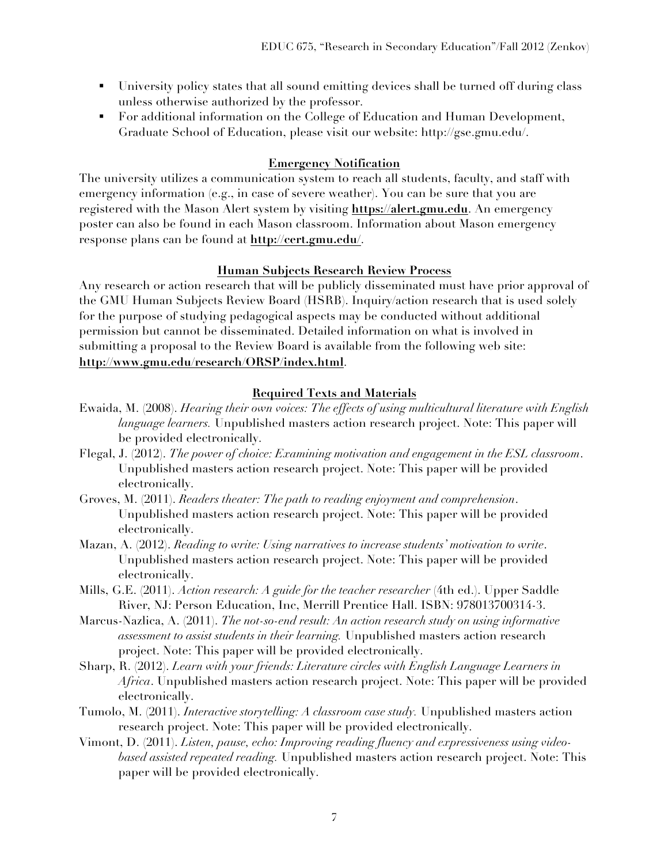- ! University policy states that all sound emitting devices shall be turned off during class unless otherwise authorized by the professor.
- ! For additional information on the College of Education and Human Development, Graduate School of Education, please visit our website: http://gse.gmu.edu/.

#### **Emergency Notification**

The university utilizes a communication system to reach all students, faculty, and staff with emergency information (e.g., in case of severe weather). You can be sure that you are registered with the Mason Alert system by visiting **https://alert.gmu.edu**. An emergency poster can also be found in each Mason classroom. Information about Mason emergency response plans can be found at **http://cert.gmu.edu/**.

#### **Human Subjects Research Review Process**

Any research or action research that will be publicly disseminated must have prior approval of the GMU Human Subjects Review Board (HSRB). Inquiry/action research that is used solely for the purpose of studying pedagogical aspects may be conducted without additional permission but cannot be disseminated. Detailed information on what is involved in submitting a proposal to the Review Board is available from the following web site: **http://www.gmu.edu/research/ORSP/index.html**.

#### **Required Texts and Materials**

- Ewaida, M. (2008). *Hearing their own voices: The effects of using multicultural literature with English language learners.* Unpublished masters action research project. Note: This paper will be provided electronically.
- Flegal, J. (2012). *The power of choice: Examining motivation and engagement in the ESL classroom*. Unpublished masters action research project. Note: This paper will be provided electronically.
- Groves, M. (2011). *Readers theater: The path to reading enjoyment and comprehension*. Unpublished masters action research project. Note: This paper will be provided electronically.
- Mazan, A. (2012). *Reading to write: Using narratives to increase students' motivation to write*. Unpublished masters action research project. Note: This paper will be provided electronically.
- Mills, G.E. (2011). *Action research: A guide for the teacher researcher* (4th ed.). Upper Saddle River, NJ: Person Education, Inc, Merrill Prentice Hall. ISBN: 978013700314-3.
- Marcus-Nazlica, A. (2011). *The not-so-end result: An action research study on using informative assessment to assist students in their learning.* Unpublished masters action research project. Note: This paper will be provided electronically.
- Sharp, R. (2012). *Learn with your friends: Literature circles with English Language Learners in Africa*. Unpublished masters action research project. Note: This paper will be provided electronically.
- Tumolo, M. (2011). *Interactive storytelling: A classroom case study.* Unpublished masters action research project. Note: This paper will be provided electronically.
- Vimont, D. (2011). *Listen, pause, echo: Improving reading fluency and expressiveness using videobased assisted repeated reading.* Unpublished masters action research project. Note: This paper will be provided electronically.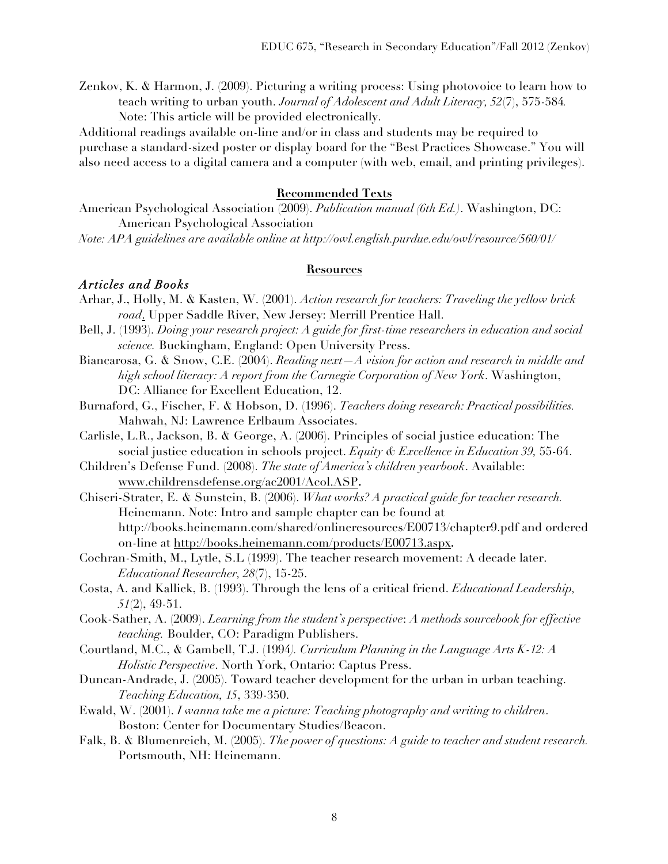Zenkov, K. & Harmon, J. (2009). Picturing a writing process: Using photovoice to learn how to teach writing to urban youth. *Journal of Adolescent and Adult Literacy, 52*(7), 575-584*.*

Note: This article will be provided electronically. Additional readings available on-line and/or in class and students may be required to

purchase a standard-sized poster or display board for the "Best Practices Showcase." You will also need access to a digital camera and a computer (with web, email, and printing privileges).

#### **Recommended Texts**

American Psychological Association (2009). *Publication manual (6th Ed.)*. Washington, DC: American Psychological Association

*Note: APA guidelines are available online at http://owl.english.purdue.edu/owl/resource/560/01/*

#### **Resources**

#### *Articles and Books*

- Arhar, J., Holly, M. & Kasten, W. (2001). *Action research for teachers: Traveling the yellow brick road*. Upper Saddle River, New Jersey: Merrill Prentice Hall.
- Bell, J. (1993). *Doing your research project: A guide for first-time researchers in education and social science.* Buckingham, England: Open University Press.
- Biancarosa, G. & Snow, C.E. (2004). *Reading next—A vision for action and research in middle and high school literacy: A report from the Carnegie Corporation of New York*. Washington, DC: Alliance for Excellent Education, 12.
- Burnaford, G., Fischer, F. & Hobson, D. (1996). *Teachers doing research: Practical possibilities.* Mahwah, NJ: Lawrence Erlbaum Associates.
- Carlisle, L.R., Jackson, B. & George, A. (2006). Principles of social justice education: The social justice education in schools project. *Equity & Excellence in Education 39,* 55-64.
- Children's Defense Fund. (2008). *The state of America's children yearbook*. Available: www.childrensdefense.org/ac2001/Acol.ASP**.**
- Chiseri-Strater, E. & Sunstein, B. (2006). *What works? A practical guide for teacher research.*  Heinemann. Note: Intro and sample chapter can be found at http://books.heinemann.com/shared/onlineresources/E00713/chapter9.pdf and ordered on-line at http://books.heinemann.com/products/E00713.aspx**.**
- Cochran-Smith, M., Lytle, S.L (1999). The teacher research movement: A decade later. *Educational Researcher, 28*(7), 15-25.
- Costa, A. and Kallick, B. (1993). Through the lens of a critical friend. *Educational Leadership, 51*(2), 49-51.
- Cook-Sather, A. (2009). *Learning from the student's perspective*: *A methods sourcebook for effective teaching.* Boulder, CO: Paradigm Publishers.
- Courtland, M.C., & Gambell, T.J. (1994*). Curriculum Planning in the Language Arts K-12: A Holistic Perspective*. North York, Ontario: Captus Press.
- Duncan-Andrade, J. (2005). Toward teacher development for the urban in urban teaching. *Teaching Education, 15*, 339-350.
- Ewald, W. (2001). *I wanna take me a picture: Teaching photography and writing to children*. Boston: Center for Documentary Studies/Beacon.
- Falk, B. & Blumenreich, M. (2005). *The power of questions: A guide to teacher and student research.*  Portsmouth, NH: Heinemann.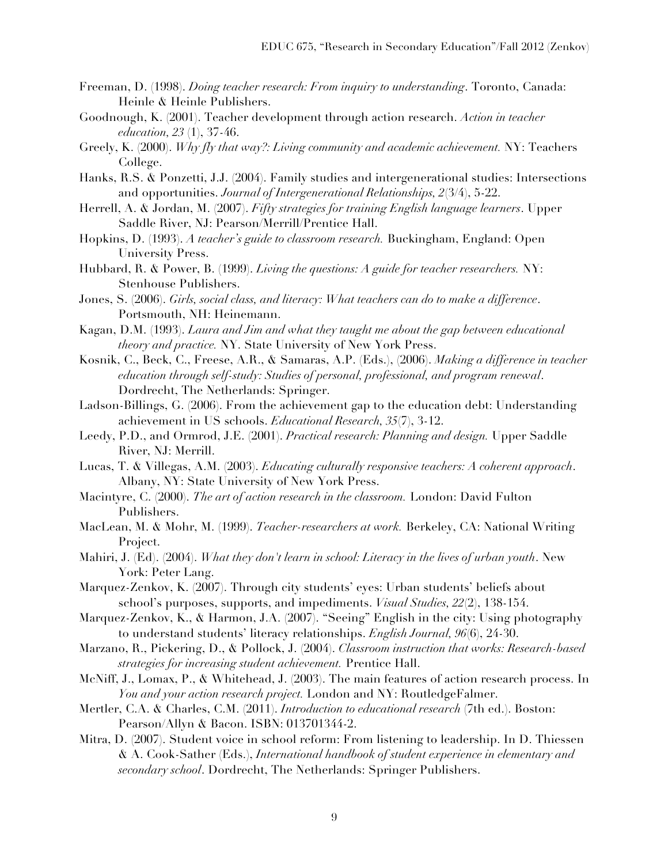- Freeman, D. (1998). *Doing teacher research: From inquiry to understanding*. Toronto, Canada: Heinle & Heinle Publishers.
- Goodnough, K. (2001). Teacher development through action research. *Action in teacher education, 23* (1), 37-46.
- Greely, K. (2000). *Why fly that way?: Living community and academic achievement.* NY: Teachers College.
- Hanks, R.S. & Ponzetti, J.J. (2004). Family studies and intergenerational studies: Intersections and opportunities. *Journal of Intergenerational Relationships, 2*(3/4), 5-22.
- Herrell, A. & Jordan, M. (2007). *Fifty strategies for training English language learners*. Upper Saddle River, NJ: Pearson/Merrill/Prentice Hall.
- Hopkins, D. (1993). *A teacher's guide to classroom research.* Buckingham, England: Open University Press.
- Hubbard, R. & Power, B. (1999). *Living the questions: A guide for teacher researchers.* NY: Stenhouse Publishers.
- Jones, S. (2006). *Girls, social class, and literacy: What teachers can do to make a difference*. Portsmouth, NH: Heinemann.
- Kagan, D.M. (1993). *Laura and Jim and what they taught me about the gap between educational theory and practice.* NY. State University of New York Press.
- Kosnik, C., Beck, C., Freese, A.R., & Samaras, A.P. (Eds.), (2006). *Making a difference in teacher education through self-study: Studies of personal, professional, and program renewal*. Dordrecht, The Netherlands: Springer.
- Ladson-Billings, G. (2006). From the achievement gap to the education debt: Understanding achievement in US schools. *Educational Research, 35*(7), 3-12.
- Leedy, P.D., and Ormrod, J.E. (2001). *Practical research: Planning and design.* Upper Saddle River, NJ: Merrill.
- Lucas, T. & Villegas, A.M. (2003). *Educating culturally responsive teachers: A coherent approach*. Albany, NY: State University of New York Press.
- Macintyre, C. (2000). *The art of action research in the classroom.* London: David Fulton Publishers.
- MacLean, M. & Mohr, M. (1999). *Teacher-researchers at work.* Berkeley, CA: National Writing Project.
- Mahiri, J. (Ed). (2004). *What they don't learn in school: Literacy in the lives of urban youth*. New York: Peter Lang.
- Marquez-Zenkov, K. (2007). Through city students' eyes: Urban students' beliefs about school's purposes, supports, and impediments. *Visual Studies, 22*(2), 138-154.
- Marquez-Zenkov, K., & Harmon, J.A. (2007). "Seeing" English in the city: Using photography to understand students' literacy relationships. *English Journal, 96*(6), 24-30.
- Marzano, R., Pickering, D., & Pollock, J. (2004). *Classroom instruction that works: Research-based strategies for increasing student achievement.* Prentice Hall.
- McNiff, J., Lomax, P., & Whitehead, J. (2003). The main features of action research process. In *You and your action research project.* London and NY: RoutledgeFalmer.
- Mertler, C.A. & Charles, C.M. (2011). *Introduction to educational research* (7th ed.). Boston: Pearson/Allyn & Bacon. ISBN: 013701344-2.
- Mitra, D. (2007). Student voice in school reform: From listening to leadership. In D. Thiessen & A. Cook-Sather (Eds.), *International handbook of student experience in elementary and secondary school*. Dordrecht, The Netherlands: Springer Publishers.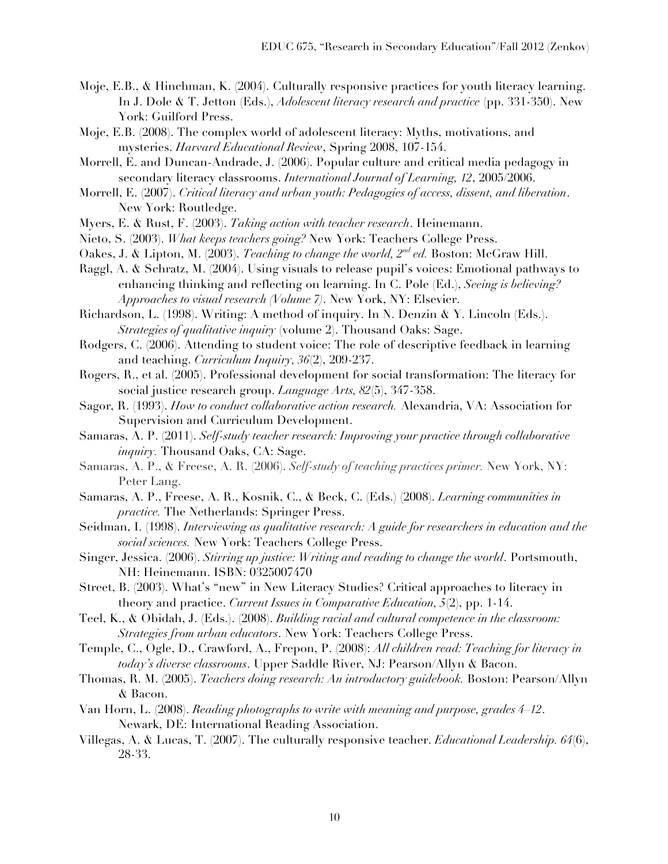- Moje, E.B., & Hinchman, K. (2004). Culturally responsive practices for youth literacy learning. In J. Dole & T. Jetton (Eds.), *Adolescent literacy research and practice* (pp. 331-350). New York: Guilford Press.
- Moje, E.B. (2008). The complex world of adolescent literacy: Myths, motivations, and mysteries. *Harvard Educational Review*, Spring 2008, 107-154.
- Morrell, E. and Duncan-Andrade, J. (2006). Popular culture and critical media pedagogy in secondary literacy classrooms. *International Journal of Learning, 12*, 2005/2006.
- Morrell, E. (2007). *Critical literacy and urban youth: Pedagogies of access, dissent, and liberation*. New York: Routledge.
- Myers, E. & Rust, F. (2003). *Taking action with teacher research*. Heinemann.
- Nieto, S. (2003). *What keeps teachers going?* New York: Teachers College Press.
- Oakes, J. & Lipton, M. (2003). *Teaching to change the world, 2nd ed.* Boston: McGraw Hill.
- Raggl, A. & Schratz, M. (2004). Using visuals to release pupil's voices: Emotional pathways to enhancing thinking and reflecting on learning. In C. Pole (Ed.), *Seeing is believing? Approaches to visual research (Volume 7)*. New York, NY: Elsevier.
- Richardson, L. (1998). Writing: A method of inquiry. In N. Denzin & Y. Lincoln (Eds.). *Strategies of qualitative inquiry* (volume 2). Thousand Oaks: Sage.
- Rodgers, C. (2006). Attending to student voice: The role of descriptive feedback in learning and teaching. *Curriculum Inquiry, 36*(2), 209-237.
- Rogers, R., et al. (2005). Professional development for social transformation: The literacy for social justice research group. *Language Arts, 82*(5), 347-358.
- Sagor, R. (1993). *How to conduct collaborative action research.* Alexandria, VA: Association for Supervision and Curriculum Development.
- Samaras, A. P. (2011). *Self-study teacher research: Improving your practice through collaborative inquiry.* Thousand Oaks, CA: Sage.
- Samaras, A. P., & Freese, A. R. (2006). *Self-study of teaching practices primer.* New York, NY: Peter Lang.
- Samaras, A. P., Freese, A. R., Kosnik, C., & Beck, C. (Eds.) (2008). *Learning communities in practice.* The Netherlands: Springer Press.
- Seidman, I. (1998). *Interviewing as qualitative research: A guide for researchers in education and the social sciences.* New York: Teachers College Press.
- Singer, Jessica. (2006). *Stirring up justice: Writing and reading to change the world*. Portsmouth, NH: Heinemann. ISBN: 0325007470
- Street, B. (2003). What's "new" in New Literacy Studies? Critical approaches to literacy in theory and practice. *Current Issues in Comparative Education, 5*(2), pp. 1-14.
- Teel, K., & Obidah, J. (Eds.). (2008). *Building racial and cultural competence in the classroom: Strategies from urban educators*. New York: Teachers College Press.
- Temple, C., Ogle, D., Crawford, A., Frepon, P. (2008): *All children read: Teaching for literacy in today's diverse classrooms*. Upper Saddle River, NJ: Pearson/Allyn & Bacon.
- Thomas, R. M. (2005). *Teachers doing research: An introductory guidebook.* Boston: Pearson/Allyn & Bacon.
- Van Horn, L. (2008). *Reading photographs to write with meaning and purpose, grades 4–12*. Newark, DE: International Reading Association.
- Villegas, A. & Lucas, T. (2007). The culturally responsive teacher. *Educational Leadership. 64*(6), 28-33.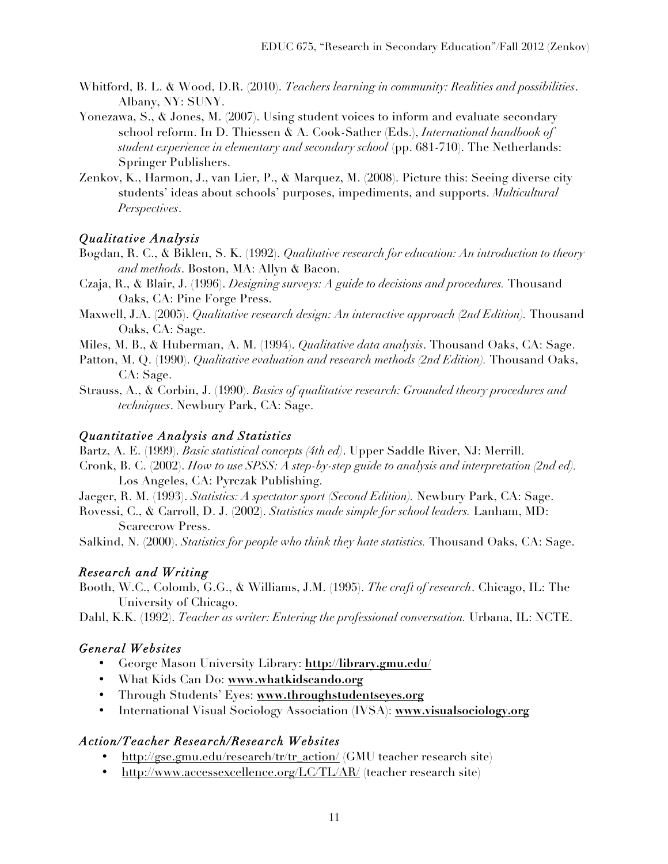- Whitford, B. L. & Wood, D.R. (2010). *Teachers learning in community: Realities and possibilities*. Albany, NY: SUNY.
- Yonezawa, S., & Jones, M. (2007). Using student voices to inform and evaluate secondary school reform. In D. Thiessen & A. Cook-Sather (Eds.), *International handbook of student experience in elementary and secondary school* (pp. 681-710). The Netherlands: Springer Publishers.
- Zenkov, K., Harmon, J., van Lier, P., & Marquez, M. (2008). Picture this: Seeing diverse city students' ideas about schools' purposes, impediments, and supports. *Multicultural Perspectives*.

## *Qualitative Analysis*

- Bogdan, R. C., & Biklen, S. K. (1992). *Qualitative research for education: An introduction to theory and methods*. Boston, MA: Allyn & Bacon.
- Czaja, R., & Blair, J. (1996). *Designing surveys: A guide to decisions and procedures.* Thousand Oaks, CA: Pine Forge Press.
- Maxwell, J.A. (2005). *Qualitative research design: An interactive approach (2nd Edition)*. Thousand Oaks, CA: Sage.
- Miles, M. B., & Huberman, A. M. (1994). *Qualitative data analysis*. Thousand Oaks, CA: Sage.
- Patton, M. Q. (1990). *Qualitative evaluation and research methods (2nd Edition)*. Thousand Oaks, CA: Sage.
- Strauss, A., & Corbin, J. (1990). *Basics of qualitative research: Grounded theory procedures and techniques*. Newbury Park, CA: Sage.

## *Quantitative Analysis and Statistics*

Bartz, A. E. (1999). *Basic statistical concepts (4th ed)*. Upper Saddle River, NJ: Merrill.

- Cronk, B. C. (2002). *How to use SPSS: A step-by-step guide to analysis and interpretation (2nd ed).*  Los Angeles, CA: Pyrczak Publishing.
- Jaeger, R. M. (1993). *Statistics: A spectator sport (Second Edition).* Newbury Park, CA: Sage.
- Rovessi, C., & Carroll, D. J. (2002). *Statistics made simple for school leaders.* Lanham, MD: Scarecrow Press.
- Salkind, N. (2000). *Statistics for people who think they hate statistics.* Thousand Oaks, CA: Sage.

# *Research and Writing*

- Booth, W.C., Colomb, G.G., & Williams, J.M. (1995). *The craft of research*. Chicago, IL: The University of Chicago.
- Dahl, K.K. (1992). *Teacher as writer: Entering the professional conversation.* Urbana, IL: NCTE.

# *General Websites*

- George Mason University Library: **http://library.gmu.edu/**
- What Kids Can Do: **www.whatkidscando.org**
- Through Students' Eyes: **www.throughstudentseyes.org**
- International Visual Sociology Association (IVSA): **www.visualsociology.org**

## *Action/Teacher Research/Research Websites*

- http://gse.gmu.edu/research/tr/tr\_action/ (GMU teacher research site)
- http://www.accessexcellence.org/LC/TL/AR/ (teacher research site)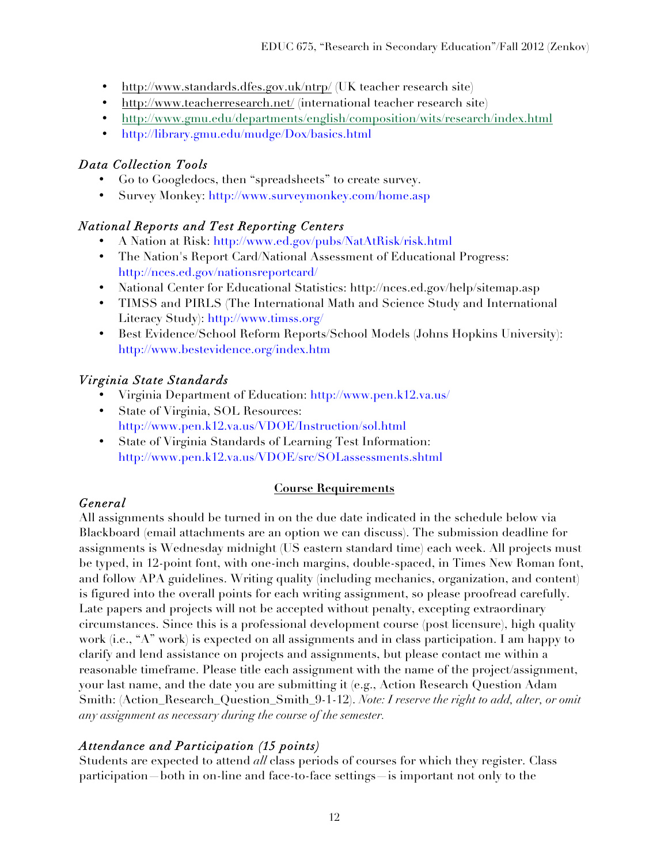- http://www.standards.dfes.gov.uk/ntrp/ (UK teacher research site)
- http://www.teacherresearch.net/ (international teacher research site)
- http://www.gmu.edu/departments/english/composition/wits/research/index.html
- http://library.gmu.edu/mudge/Dox/basics.html

## *Data Collection Tools*

- Go to Googledocs, then "spreadsheets" to create survey.
- Survey Monkey: http://www.surveymonkey.com/home.asp

## *National Reports and Test Reporting Centers*

- A Nation at Risk: http://www.ed.gov/pubs/NatAtRisk/risk.html
- The Nation's Report Card/National Assessment of Educational Progress: http://nces.ed.gov/nationsreportcard/
- National Center for Educational Statistics: http://nces.ed.gov/help/sitemap.asp
- TIMSS and PIRLS (The International Math and Science Study and International Literacy Study): http://www.timss.org/
- Best Evidence/School Reform Reports/School Models (Johns Hopkins University): http://www.bestevidence.org/index.htm

# *Virginia State Standards*

- Virginia Department of Education: http://www.pen.k12.va.us/
- State of Virginia, SOL Resources: http://www.pen.k12.va.us/VDOE/Instruction/sol.html
- State of Virginia Standards of Learning Test Information: http://www.pen.k12.va.us/VDOE/src/SOLassessments.shtml

## **Course Requirements**

# *General*

All assignments should be turned in on the due date indicated in the schedule below via Blackboard (email attachments are an option we can discuss). The submission deadline for assignments is Wednesday midnight (US eastern standard time) each week. All projects must be typed, in 12-point font, with one-inch margins, double-spaced, in Times New Roman font, and follow APA guidelines. Writing quality (including mechanics, organization, and content) is figured into the overall points for each writing assignment, so please proofread carefully. Late papers and projects will not be accepted without penalty, excepting extraordinary circumstances. Since this is a professional development course (post licensure), high quality work (i.e., "A" work) is expected on all assignments and in class participation. I am happy to clarify and lend assistance on projects and assignments, but please contact me within a reasonable timeframe. Please title each assignment with the name of the project/assignment, your last name, and the date you are submitting it (e.g., Action Research Question Adam Smith: (Action\_Research\_Question\_Smith\_9-1-12). *Note: I reserve the right to add, alter, or omit any assignment as necessary during the course of the semester.*

# *Attendance and Participation (15 points)*

Students are expected to attend *all* class periods of courses for which they register. Class participation—both in on-line and face-to-face settings—is important not only to the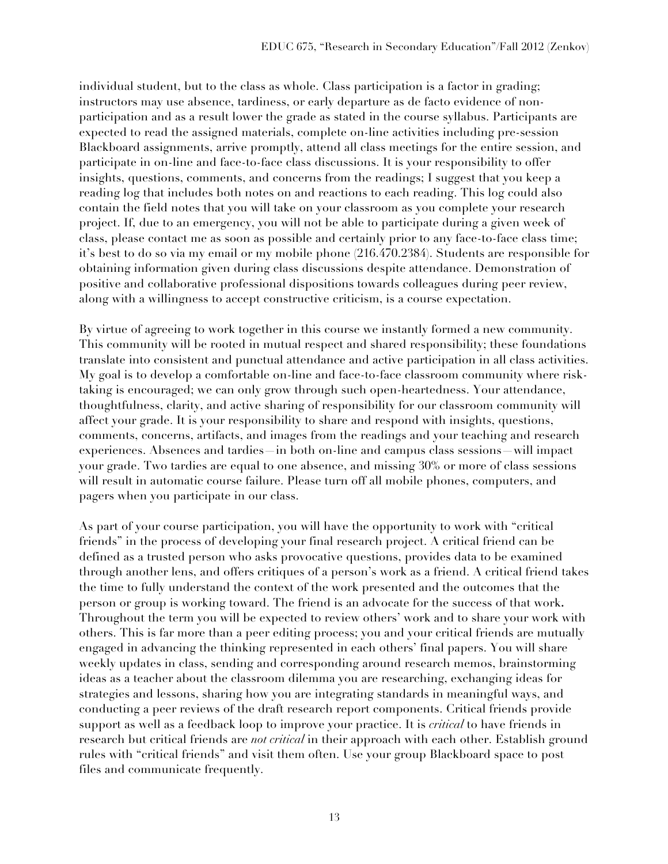individual student, but to the class as whole. Class participation is a factor in grading; instructors may use absence, tardiness, or early departure as de facto evidence of nonparticipation and as a result lower the grade as stated in the course syllabus. Participants are expected to read the assigned materials, complete on-line activities including pre-session Blackboard assignments, arrive promptly, attend all class meetings for the entire session, and participate in on-line and face-to-face class discussions. It is your responsibility to offer insights, questions, comments, and concerns from the readings; I suggest that you keep a reading log that includes both notes on and reactions to each reading. This log could also contain the field notes that you will take on your classroom as you complete your research project. If, due to an emergency, you will not be able to participate during a given week of class, please contact me as soon as possible and certainly prior to any face-to-face class time; it's best to do so via my email or my mobile phone (216.470.2384). Students are responsible for obtaining information given during class discussions despite attendance. Demonstration of positive and collaborative professional dispositions towards colleagues during peer review, along with a willingness to accept constructive criticism, is a course expectation.

By virtue of agreeing to work together in this course we instantly formed a new community. This community will be rooted in mutual respect and shared responsibility; these foundations translate into consistent and punctual attendance and active participation in all class activities. My goal is to develop a comfortable on-line and face-to-face classroom community where risktaking is encouraged; we can only grow through such open-heartedness. Your attendance, thoughtfulness, clarity, and active sharing of responsibility for our classroom community will affect your grade. It is your responsibility to share and respond with insights, questions, comments, concerns, artifacts, and images from the readings and your teaching and research experiences. Absences and tardies—in both on-line and campus class sessions—will impact your grade. Two tardies are equal to one absence, and missing 30% or more of class sessions will result in automatic course failure. Please turn off all mobile phones, computers, and pagers when you participate in our class.

As part of your course participation, you will have the opportunity to work with "critical friends" in the process of developing your final research project. A critical friend can be defined as a trusted person who asks provocative questions, provides data to be examined through another lens, and offers critiques of a person's work as a friend. A critical friend takes the time to fully understand the context of the work presented and the outcomes that the person or group is working toward. The friend is an advocate for the success of that work**.**  Throughout the term you will be expected to review others' work and to share your work with others. This is far more than a peer editing process; you and your critical friends are mutually engaged in advancing the thinking represented in each others' final papers. You will share weekly updates in class, sending and corresponding around research memos, brainstorming ideas as a teacher about the classroom dilemma you are researching, exchanging ideas for strategies and lessons, sharing how you are integrating standards in meaningful ways, and conducting a peer reviews of the draft research report components. Critical friends provide support as well as a feedback loop to improve your practice. It is *critical* to have friends in research but critical friends are *not critical* in their approach with each other. Establish ground rules with "critical friends" and visit them often. Use your group Blackboard space to post files and communicate frequently.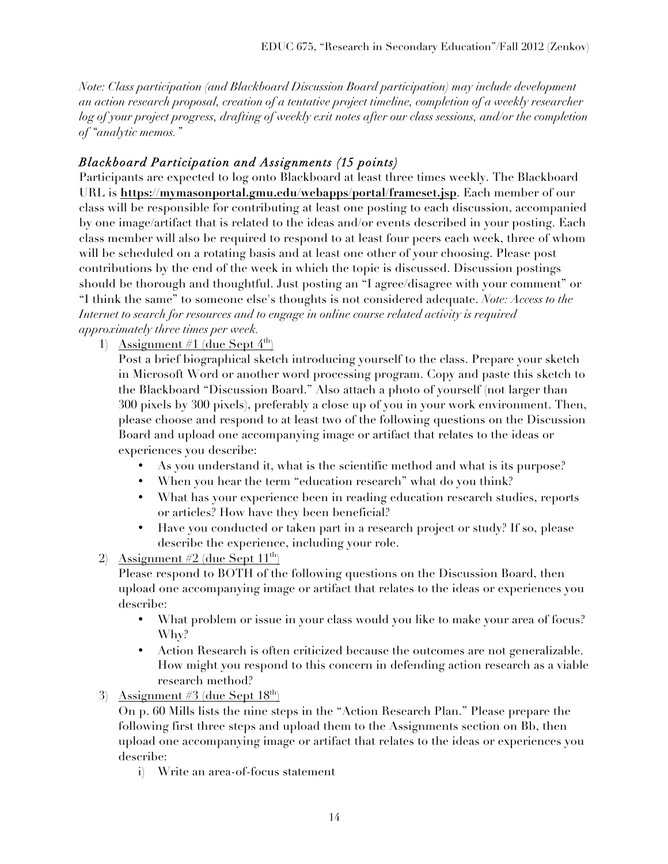*Note: Class participation (and Blackboard Discussion Board participation) may include development an action research proposal, creation of a tentative project timeline, completion of a weekly researcher log of your project progress, drafting of weekly exit notes after our class sessions, and/or the completion of "analytic memos."* 

## *Blackboard Participation and Assignments (15 points)*

Participants are expected to log onto Blackboard at least three times weekly. The Blackboard URL is **https://mymasonportal.gmu.edu/webapps/portal/frameset.jsp**. Each member of our class will be responsible for contributing at least one posting to each discussion, accompanied by one image/artifact that is related to the ideas and/or events described in your posting. Each class member will also be required to respond to at least four peers each week, three of whom will be scheduled on a rotating basis and at least one other of your choosing. Please post contributions by the end of the week in which the topic is discussed. Discussion postings should be thorough and thoughtful. Just posting an "I agree/disagree with your comment" or "I think the same" to someone else's thoughts is not considered adequate. *Note: Access to the Internet to search for resources and to engage in online course related activity is required approximately three times per week.* 

1) Assignment #1 (due Sept  $4^{\text{th}}$ )

Post a brief biographical sketch introducing yourself to the class. Prepare your sketch in Microsoft Word or another word processing program. Copy and paste this sketch to the Blackboard "Discussion Board." Also attach a photo of yourself (not larger than 300 pixels by 300 pixels), preferably a close up of you in your work environment. Then, please choose and respond to at least two of the following questions on the Discussion Board and upload one accompanying image or artifact that relates to the ideas or experiences you describe:

- As you understand it, what is the scientific method and what is its purpose?
- When you hear the term "education research" what do you think?
- What has your experience been in reading education research studies, reports or articles? How have they been beneficial?
- Have you conducted or taken part in a research project or study? If so, please describe the experience, including your role.
- 2) Assignment  $#2$  (due Sept  $11<sup>th</sup>$ )

Please respond to BOTH of the following questions on the Discussion Board, then upload one accompanying image or artifact that relates to the ideas or experiences you describe:

- What problem or issue in your class would you like to make your area of focus? Why?
- Action Research is often criticized because the outcomes are not generalizable. How might you respond to this concern in defending action research as a viable research method?
- 3) Assignment #3 (due Sept  $18<sup>th</sup>$ )

On p. 60 Mills lists the nine steps in the "Action Research Plan." Please prepare the following first three steps and upload them to the Assignments section on Bb, then upload one accompanying image or artifact that relates to the ideas or experiences you describe:

i) Write an area-of-focus statement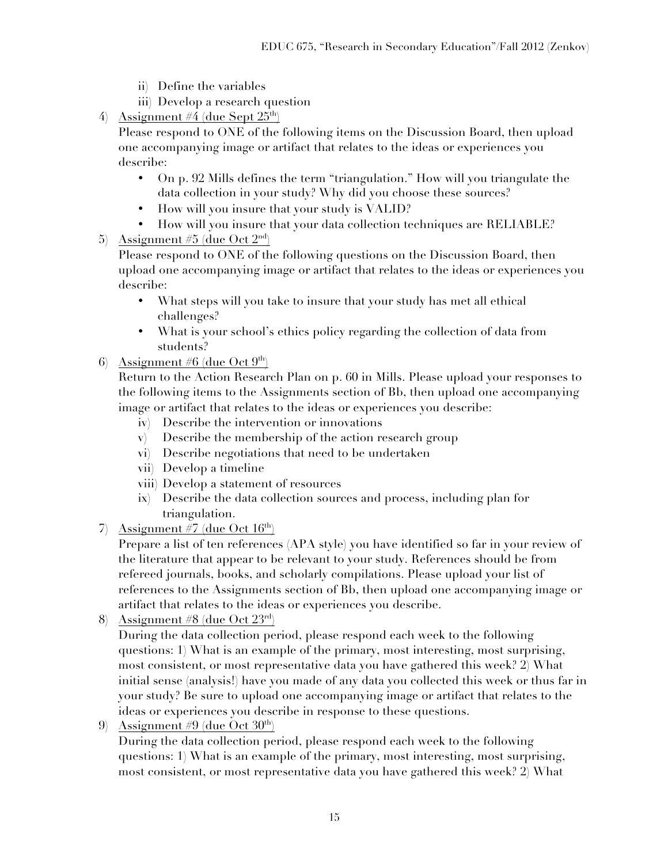- ii) Define the variables
- iii) Develop a research question
- 4) Assignment #4 (due Sept  $25<sup>th</sup>$ )

Please respond to ONE of the following items on the Discussion Board, then upload one accompanying image or artifact that relates to the ideas or experiences you describe:

- On p. 92 Mills defines the term "triangulation." How will you triangulate the data collection in your study? Why did you choose these sources?
- How will you insure that your study is VALID?
- How will you insure that your data collection techniques are RELIABLE?
- 5) Assignment #5 (due Oct  $2<sup>nd</sup>$ )

Please respond to ONE of the following questions on the Discussion Board, then upload one accompanying image or artifact that relates to the ideas or experiences you describe:

- What steps will you take to insure that your study has met all ethical challenges?
- What is your school's ethics policy regarding the collection of data from students?
- 6) Assignment #6 (due Oct  $9<sup>th</sup>$ )

Return to the Action Research Plan on p. 60 in Mills. Please upload your responses to the following items to the Assignments section of Bb, then upload one accompanying image or artifact that relates to the ideas or experiences you describe:

- iv) Describe the intervention or innovations
- v) Describe the membership of the action research group
- vi) Describe negotiations that need to be undertaken
- vii) Develop a timeline
- viii) Develop a statement of resources
- ix) Describe the data collection sources and process, including plan for triangulation.
- 7) Assignment #7 (due Oct  $16<sup>th</sup>$ )

Prepare a list of ten references (APA style) you have identified so far in your review of the literature that appear to be relevant to your study. References should be from refereed journals, books, and scholarly compilations. Please upload your list of references to the Assignments section of Bb, then upload one accompanying image or artifact that relates to the ideas or experiences you describe.

8) Assignment #8 (due Oct  $23^{\text{rd}}$ )

During the data collection period, please respond each week to the following questions: 1) What is an example of the primary, most interesting, most surprising, most consistent, or most representative data you have gathered this week? 2) What initial sense (analysis!) have you made of any data you collected this week or thus far in your study? Be sure to upload one accompanying image or artifact that relates to the ideas or experiences you describe in response to these questions.

9) Assignment #9 (due Oct  $30<sup>th</sup>$ )

During the data collection period, please respond each week to the following questions: 1) What is an example of the primary, most interesting, most surprising, most consistent, or most representative data you have gathered this week? 2) What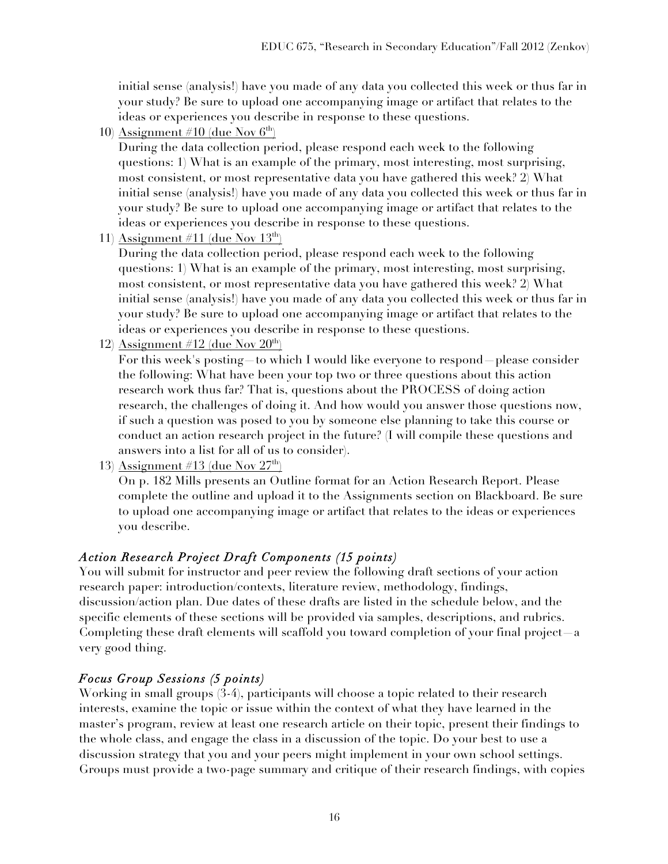initial sense (analysis!) have you made of any data you collected this week or thus far in your study? Be sure to upload one accompanying image or artifact that relates to the ideas or experiences you describe in response to these questions.

10) Assignment #10 (due Nov  $6<sup>th</sup>$ )

During the data collection period, please respond each week to the following questions: 1) What is an example of the primary, most interesting, most surprising, most consistent, or most representative data you have gathered this week? 2) What initial sense (analysis!) have you made of any data you collected this week or thus far in your study? Be sure to upload one accompanying image or artifact that relates to the ideas or experiences you describe in response to these questions.

11) Assignment #11 (due Nov  $13<sup>th</sup>$ )

During the data collection period, please respond each week to the following questions: 1) What is an example of the primary, most interesting, most surprising, most consistent, or most representative data you have gathered this week? 2) What initial sense (analysis!) have you made of any data you collected this week or thus far in your study? Be sure to upload one accompanying image or artifact that relates to the ideas or experiences you describe in response to these questions.

12) Assignment #12 (due Nov  $20<sup>th</sup>$ )

For this week's posting—to which I would like everyone to respond—please consider the following: What have been your top two or three questions about this action research work thus far? That is, questions about the PROCESS of doing action research, the challenges of doing it. And how would you answer those questions now, if such a question was posed to you by someone else planning to take this course or conduct an action research project in the future? (I will compile these questions and answers into a list for all of us to consider).

13) Assignment #13 (due Nov  $27<sup>th</sup>$ )

On p. 182 Mills presents an Outline format for an Action Research Report. Please complete the outline and upload it to the Assignments section on Blackboard. Be sure to upload one accompanying image or artifact that relates to the ideas or experiences you describe.

# *Action Research Project Draft Components (15 points)*

You will submit for instructor and peer review the following draft sections of your action research paper: introduction/contexts, literature review, methodology, findings, discussion/action plan. Due dates of these drafts are listed in the schedule below, and the specific elements of these sections will be provided via samples, descriptions, and rubrics. Completing these draft elements will scaffold you toward completion of your final project—a very good thing.

# *Focus Group Sessions (5 points)*

Working in small groups (3-4), participants will choose a topic related to their research interests, examine the topic or issue within the context of what they have learned in the master's program, review at least one research article on their topic, present their findings to the whole class, and engage the class in a discussion of the topic. Do your best to use a discussion strategy that you and your peers might implement in your own school settings. Groups must provide a two-page summary and critique of their research findings, with copies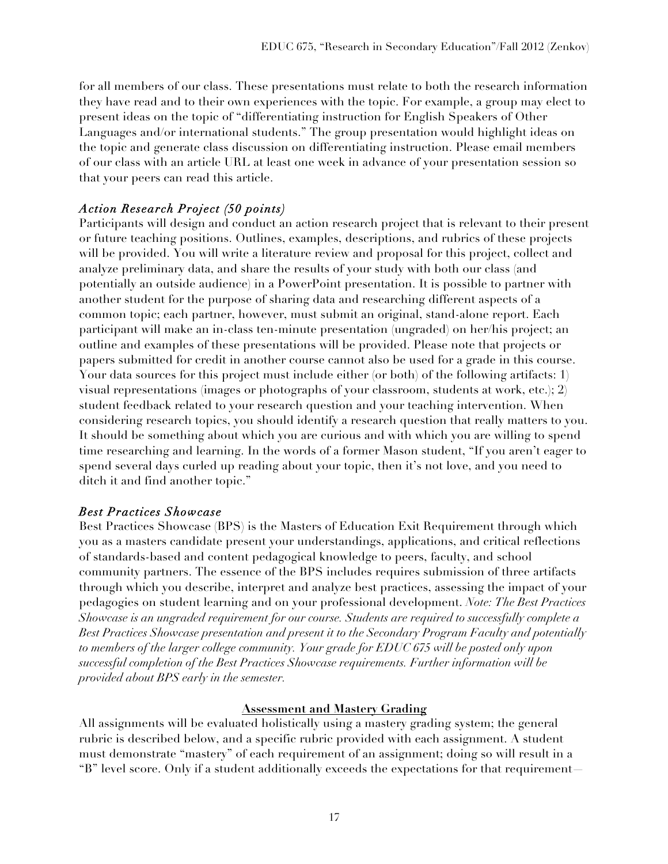for all members of our class. These presentations must relate to both the research information they have read and to their own experiences with the topic. For example, a group may elect to present ideas on the topic of "differentiating instruction for English Speakers of Other Languages and/or international students." The group presentation would highlight ideas on the topic and generate class discussion on differentiating instruction. Please email members of our class with an article URL at least one week in advance of your presentation session so that your peers can read this article.

# *Action Research Project (50 points)*

Participants will design and conduct an action research project that is relevant to their present or future teaching positions. Outlines, examples, descriptions, and rubrics of these projects will be provided. You will write a literature review and proposal for this project, collect and analyze preliminary data, and share the results of your study with both our class (and potentially an outside audience) in a PowerPoint presentation. It is possible to partner with another student for the purpose of sharing data and researching different aspects of a common topic; each partner, however, must submit an original, stand-alone report. Each participant will make an in-class ten-minute presentation (ungraded) on her/his project; an outline and examples of these presentations will be provided. Please note that projects or papers submitted for credit in another course cannot also be used for a grade in this course. Your data sources for this project must include either (or both) of the following artifacts: 1) visual representations (images or photographs of your classroom, students at work, etc.); 2) student feedback related to your research question and your teaching intervention. When considering research topics, you should identify a research question that really matters to you. It should be something about which you are curious and with which you are willing to spend time researching and learning. In the words of a former Mason student, "If you aren't eager to spend several days curled up reading about your topic, then it's not love, and you need to ditch it and find another topic."

# *Best Practices Showcase*

Best Practices Showcase (BPS) is the Masters of Education Exit Requirement through which you as a masters candidate present your understandings, applications, and critical reflections of standards-based and content pedagogical knowledge to peers, faculty, and school community partners. The essence of the BPS includes requires submission of three artifacts through which you describe, interpret and analyze best practices, assessing the impact of your pedagogies on student learning and on your professional development. *Note: The Best Practices Showcase is an ungraded requirement for our course. Students are required to successfully complete a Best Practices Showcase presentation and present it to the Secondary Program Faculty and potentially to members of the larger college community. Your grade for EDUC 675 will be posted only upon successful completion of the Best Practices Showcase requirements. Further information will be provided about BPS early in the semester.*

# **Assessment and Mastery Grading**

All assignments will be evaluated holistically using a mastery grading system; the general rubric is described below, and a specific rubric provided with each assignment. A student must demonstrate "mastery" of each requirement of an assignment; doing so will result in a "B" level score. Only if a student additionally exceeds the expectations for that requirement—